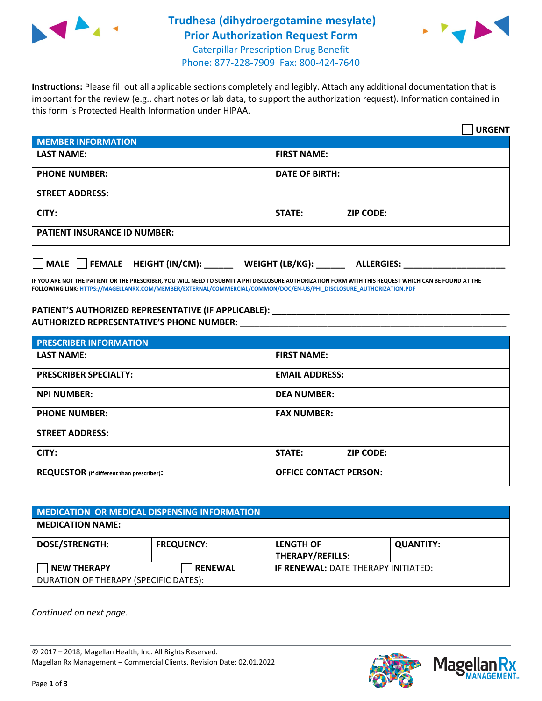

## **Trudhesa (dihydroergotamine mesylate) Prior Authorization Request Form** Caterpillar Prescription Drug Benefit



Phone: 877-228-7909 Fax: 800-424-7640

**Instructions:** Please fill out all applicable sections completely and legibly. Attach any additional documentation that is important for the review (e.g., chart notes or lab data, to support the authorization request). Information contained in this form is Protected Health Information under HIPAA.

|                                               | <b>URGENT</b>                             |  |
|-----------------------------------------------|-------------------------------------------|--|
| <b>MEMBER INFORMATION</b>                     |                                           |  |
| <b>LAST NAME:</b>                             | <b>FIRST NAME:</b>                        |  |
| <b>PHONE NUMBER:</b>                          | <b>DATE OF BIRTH:</b>                     |  |
| <b>STREET ADDRESS:</b>                        |                                           |  |
| CITY:                                         | STATE:<br><b>ZIP CODE:</b>                |  |
| <b>PATIENT INSURANCE ID NUMBER:</b>           |                                           |  |
| $\Box$ FEMALE HEIGHT (IN/CM): _____<br>  MALE | WEIGHT (LB/KG): $\_$<br><b>ALLERGIES:</b> |  |

**IF YOU ARE NOT THE PATIENT OR THE PRESCRIBER, YOU WILL NEED TO SUBMIT A PHI DISCLOSURE AUTHORIZATION FORM WITH THIS REQUEST WHICH CAN BE FOUND AT THE FOLLOWING LINK[: HTTPS://MAGELLANRX.COM/MEMBER/EXTERNAL/COMMERCIAL/COMMON/DOC/EN-US/PHI\\_DISCLOSURE\\_AUTHORIZATION.PDF](https://magellanrx.com/member/external/commercial/common/doc/en-us/PHI_Disclosure_Authorization.pdf)**

**PATIENT'S AUTHORIZED REPRESENTATIVE (IF APPLICABLE): \_\_\_\_\_\_\_\_\_\_\_\_\_\_\_\_\_\_\_\_\_\_\_\_\_\_\_\_\_\_\_\_\_\_\_\_\_\_\_\_\_\_\_\_\_\_\_\_\_ AUTHORIZED REPRESENTATIVE'S PHONE NUMBER:** \_\_\_\_\_\_\_\_\_\_\_\_\_\_\_\_\_\_\_\_\_\_\_\_\_\_\_\_\_\_\_\_\_\_\_\_\_\_\_\_\_\_\_\_\_\_\_\_\_\_\_\_\_\_\_

| <b>PRESCRIBER INFORMATION</b>             |                               |  |  |  |
|-------------------------------------------|-------------------------------|--|--|--|
| <b>LAST NAME:</b>                         | <b>FIRST NAME:</b>            |  |  |  |
| <b>PRESCRIBER SPECIALTY:</b>              | <b>EMAIL ADDRESS:</b>         |  |  |  |
| <b>NPI NUMBER:</b>                        | <b>DEA NUMBER:</b>            |  |  |  |
| <b>PHONE NUMBER:</b>                      | <b>FAX NUMBER:</b>            |  |  |  |
| <b>STREET ADDRESS:</b>                    |                               |  |  |  |
| CITY:                                     | STATE:<br><b>ZIP CODE:</b>    |  |  |  |
| REQUESTOR (if different than prescriber): | <b>OFFICE CONTACT PERSON:</b> |  |  |  |

| <b>MEDICATION OR MEDICAL DISPENSING INFORMATION</b> |                   |                                            |                  |  |  |
|-----------------------------------------------------|-------------------|--------------------------------------------|------------------|--|--|
| <b>MEDICATION NAME:</b>                             |                   |                                            |                  |  |  |
| DOSE/STRENGTH:                                      | <b>FREQUENCY:</b> | <b>LENGTH OF</b><br>THERAPY/REFILLS:       | <b>QUANTITY:</b> |  |  |
| <b>NEW THERAPY</b>                                  | <b>RENEWAL</b>    | <b>IF RENEWAL: DATE THERAPY INITIATED:</b> |                  |  |  |
| DURATION OF THERAPY (SPECIFIC DATES):               |                   |                                            |                  |  |  |

*Continued on next page.*

© 2017 – 2018, Magellan Health, Inc. All Rights Reserved. Magellan Rx Management – Commercial Clients. Revision Date: 02.01.2022



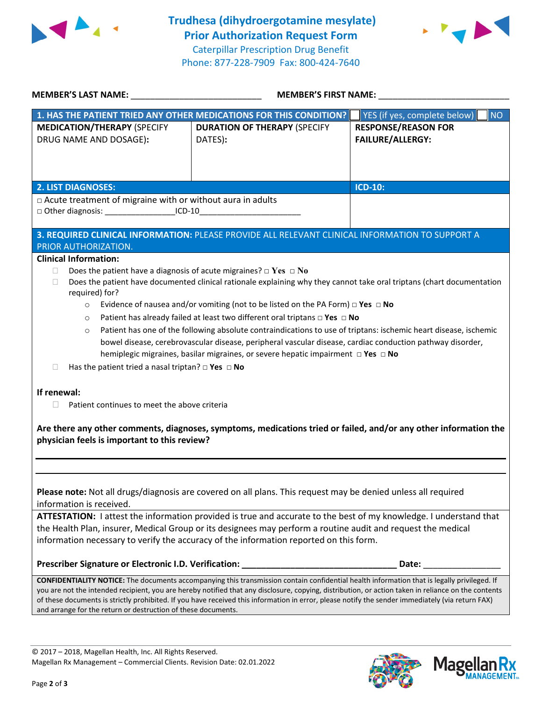



| MEMBER'S LAST NAME: NAME:                                                                                                                                                                                                                                                                                                                                                                                                                                                                                                                                                                                                                                                                                                                                                    | MEMBER'S FIRST NAME:                                                                                                                                                                                                                                                                                                                                                                                                                                   |                                                       |  |  |
|------------------------------------------------------------------------------------------------------------------------------------------------------------------------------------------------------------------------------------------------------------------------------------------------------------------------------------------------------------------------------------------------------------------------------------------------------------------------------------------------------------------------------------------------------------------------------------------------------------------------------------------------------------------------------------------------------------------------------------------------------------------------------|--------------------------------------------------------------------------------------------------------------------------------------------------------------------------------------------------------------------------------------------------------------------------------------------------------------------------------------------------------------------------------------------------------------------------------------------------------|-------------------------------------------------------|--|--|
|                                                                                                                                                                                                                                                                                                                                                                                                                                                                                                                                                                                                                                                                                                                                                                              | 1. HAS THE PATIENT TRIED ANY OTHER MEDICATIONS FOR THIS CONDITION?                                                                                                                                                                                                                                                                                                                                                                                     | <b>NO</b><br>YES (if yes, complete below)             |  |  |
| <b>MEDICATION/THERAPY (SPECIFY</b><br>DRUG NAME AND DOSAGE):                                                                                                                                                                                                                                                                                                                                                                                                                                                                                                                                                                                                                                                                                                                 | <b>DURATION OF THERAPY (SPECIFY</b><br>DATES):                                                                                                                                                                                                                                                                                                                                                                                                         | <b>RESPONSE/REASON FOR</b><br><b>FAILURE/ALLERGY:</b> |  |  |
| <b>2. LIST DIAGNOSES:</b>                                                                                                                                                                                                                                                                                                                                                                                                                                                                                                                                                                                                                                                                                                                                                    |                                                                                                                                                                                                                                                                                                                                                                                                                                                        | <b>ICD-10:</b>                                        |  |  |
| $\Box$ Acute treatment of migraine with or without aura in adults                                                                                                                                                                                                                                                                                                                                                                                                                                                                                                                                                                                                                                                                                                            |                                                                                                                                                                                                                                                                                                                                                                                                                                                        |                                                       |  |  |
| □ Other diagnosis: ____________________ICD-10__________________________________                                                                                                                                                                                                                                                                                                                                                                                                                                                                                                                                                                                                                                                                                              |                                                                                                                                                                                                                                                                                                                                                                                                                                                        |                                                       |  |  |
| PRIOR AUTHORIZATION.                                                                                                                                                                                                                                                                                                                                                                                                                                                                                                                                                                                                                                                                                                                                                         | 3. REQUIRED CLINICAL INFORMATION: PLEASE PROVIDE ALL RELEVANT CLINICAL INFORMATION TO SUPPORT A                                                                                                                                                                                                                                                                                                                                                        |                                                       |  |  |
| <b>Clinical Information:</b>                                                                                                                                                                                                                                                                                                                                                                                                                                                                                                                                                                                                                                                                                                                                                 |                                                                                                                                                                                                                                                                                                                                                                                                                                                        |                                                       |  |  |
| Does the patient have a diagnosis of acute migraines? $\Box$ Yes $\Box$ No<br>П.<br>Does the patient have documented clinical rationale explaining why they cannot take oral triptans (chart documentation<br>П<br>required) for?<br>Evidence of nausea and/or vomiting (not to be listed on the PA Form) $\Box$ Yes $\Box$ No<br>$\circ$<br>Patient has already failed at least two different oral triptans $\Box$ Yes $\Box$ No<br>$\circ$<br>Patient has one of the following absolute contraindications to use of triptans: ischemic heart disease, ischemic<br>$\circ$<br>bowel disease, cerebrovascular disease, peripheral vascular disease, cardiac conduction pathway disorder,<br>hemiplegic migraines, basilar migraines, or severe hepatic impairment □ Yes □ No |                                                                                                                                                                                                                                                                                                                                                                                                                                                        |                                                       |  |  |
| Has the patient tried a nasal triptan? $\Box$ Yes $\Box$ No<br>П                                                                                                                                                                                                                                                                                                                                                                                                                                                                                                                                                                                                                                                                                                             |                                                                                                                                                                                                                                                                                                                                                                                                                                                        |                                                       |  |  |
| If renewal:<br>Patient continues to meet the above criteria<br>H.<br>Are there any other comments, diagnoses, symptoms, medications tried or failed, and/or any other information the<br>physician feels is important to this review?                                                                                                                                                                                                                                                                                                                                                                                                                                                                                                                                        |                                                                                                                                                                                                                                                                                                                                                                                                                                                        |                                                       |  |  |
|                                                                                                                                                                                                                                                                                                                                                                                                                                                                                                                                                                                                                                                                                                                                                                              |                                                                                                                                                                                                                                                                                                                                                                                                                                                        |                                                       |  |  |
| Please note: Not all drugs/diagnosis are covered on all plans. This request may be denied unless all required<br>information is received.<br>ATTESTATION: I attest the information provided is true and accurate to the best of my knowledge. I understand that<br>the Health Plan, insurer, Medical Group or its designees may perform a routine audit and request the medical<br>information necessary to verify the accuracy of the information reported on this form.                                                                                                                                                                                                                                                                                                    |                                                                                                                                                                                                                                                                                                                                                                                                                                                        |                                                       |  |  |
|                                                                                                                                                                                                                                                                                                                                                                                                                                                                                                                                                                                                                                                                                                                                                                              |                                                                                                                                                                                                                                                                                                                                                                                                                                                        |                                                       |  |  |
| and arrange for the return or destruction of these documents.                                                                                                                                                                                                                                                                                                                                                                                                                                                                                                                                                                                                                                                                                                                | CONFIDENTIALITY NOTICE: The documents accompanying this transmission contain confidential health information that is legally privileged. If<br>you are not the intended recipient, you are hereby notified that any disclosure, copying, distribution, or action taken in reliance on the contents<br>of these documents is strictly prohibited. If you have received this information in error, please notify the sender immediately (via return FAX) |                                                       |  |  |